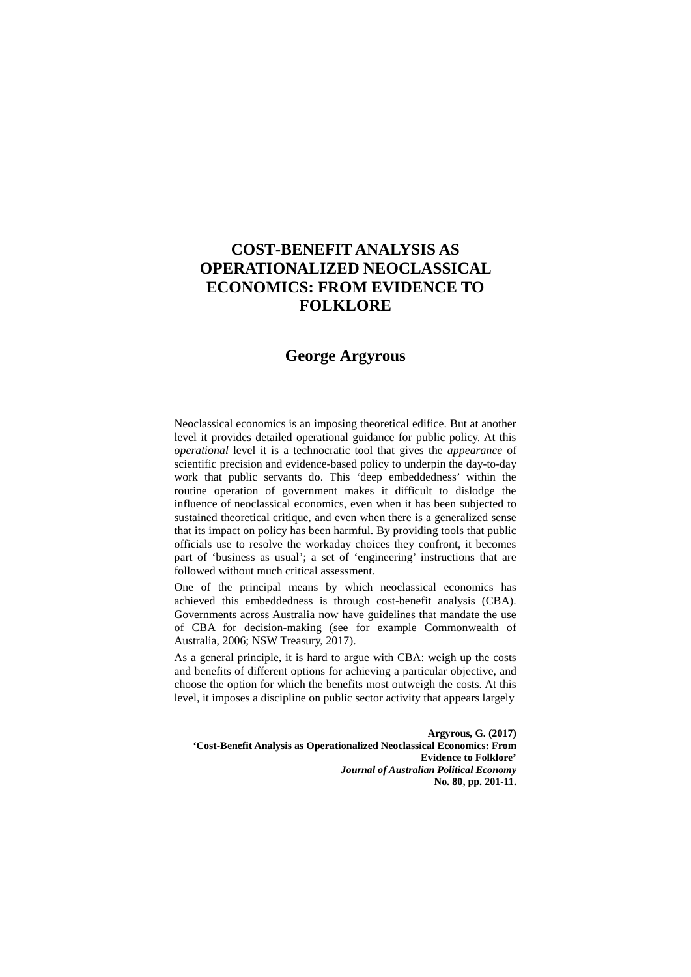# **COST-BENEFIT ANALYSIS AS OPERATIONALIZED NEOCLASSICAL ECONOMICS: FROM EVIDENCE TO FOLKLORE**

# **George Argyrous**

Neoclassical economics is an imposing theoretical edifice. But at another level it provides detailed operational guidance for public policy. At this *operational* level it is a technocratic tool that gives the *appearance* of scientific precision and evidence-based policy to underpin the day-to-day work that public servants do. This 'deep embeddedness' within the routine operation of government makes it difficult to dislodge the influence of neoclassical economics, even when it has been subjected to sustained theoretical critique, and even when there is a generalized sense that its impact on policy has been harmful. By providing tools that public officials use to resolve the workaday choices they confront, it becomes part of 'business as usual'; a set of 'engineering' instructions that are followed without much critical assessment.

One of the principal means by which neoclassical economics has achieved this embeddedness is through cost-benefit analysis (CBA). Governments across Australia now have guidelines that mandate the use of CBA for decision-making (see for example Commonwealth of Australia, 2006; NSW Treasury, 2017).

As a general principle, it is hard to argue with CBA: weigh up the costs and benefits of different options for achieving a particular objective, and choose the option for which the benefits most outweigh the costs. At this level, it imposes a discipline on public sector activity that appears largely

**Argyrous, G. (2017) 'Cost-Benefit Analysis as Operationalized Neoclassical Economics: From Evidence to Folklore'**  *Journal of Australian Political Economy* **No. 80, pp. 201-11.**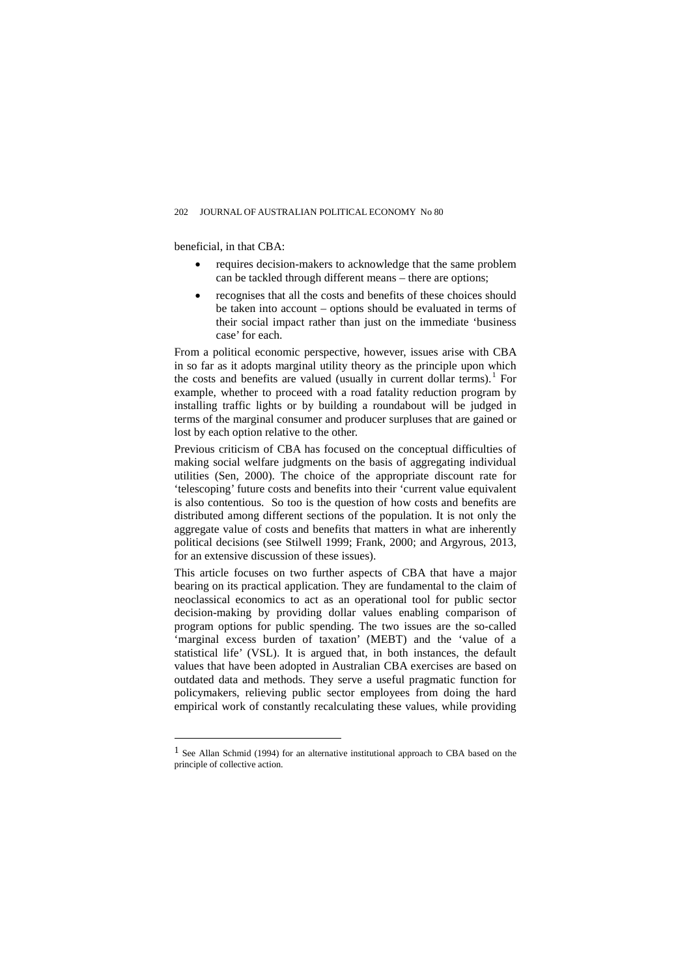beneficial, in that CBA:

 $\overline{a}$ 

- requires decision-makers to acknowledge that the same problem can be tackled through different means – there are options;
- recognises that all the costs and benefits of these choices should be taken into account – options should be evaluated in terms of their social impact rather than just on the immediate 'business case' for each.

From a political economic perspective, however, issues arise with CBA in so far as it adopts marginal utility theory as the principle upon which the costs and benefits are valued (usually in current dollar terms).<sup>[1](#page-1-0)</sup> For example, whether to proceed with a road fatality reduction program by installing traffic lights or by building a roundabout will be judged in terms of the marginal consumer and producer surpluses that are gained or lost by each option relative to the other.

Previous criticism of CBA has focused on the conceptual difficulties of making social welfare judgments on the basis of aggregating individual utilities (Sen, 2000). The choice of the appropriate discount rate for 'telescoping' future costs and benefits into their 'current value equivalent is also contentious. So too is the question of how costs and benefits are distributed among different sections of the population. It is not only the aggregate value of costs and benefits that matters in what are inherently political decisions (see Stilwell 1999; Frank, 2000; and Argyrous, 2013, for an extensive discussion of these issues).

This article focuses on two further aspects of CBA that have a major bearing on its practical application. They are fundamental to the claim of neoclassical economics to act as an operational tool for public sector decision-making by providing dollar values enabling comparison of program options for public spending. The two issues are the so-called 'marginal excess burden of taxation' (MEBT) and the 'value of a statistical life' (VSL). It is argued that, in both instances, the default values that have been adopted in Australian CBA exercises are based on outdated data and methods. They serve a useful pragmatic function for policymakers, relieving public sector employees from doing the hard empirical work of constantly recalculating these values, while providing

<span id="page-1-0"></span><sup>1</sup> See Allan Schmid (1994) for an alternative institutional approach to CBA based on the principle of collective action.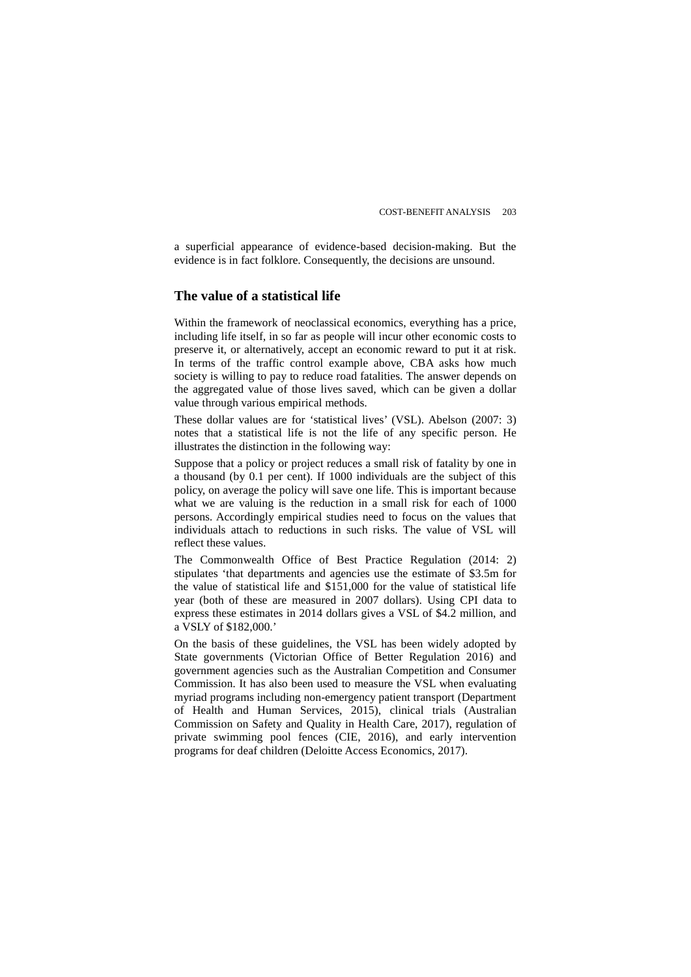a superficial appearance of evidence-based decision-making. But the evidence is in fact folklore. Consequently, the decisions are unsound.

# **The value of a statistical life**

Within the framework of neoclassical economics, everything has a price, including life itself, in so far as people will incur other economic costs to preserve it, or alternatively, accept an economic reward to put it at risk. In terms of the traffic control example above, CBA asks how much society is willing to pay to reduce road fatalities. The answer depends on the aggregated value of those lives saved, which can be given a dollar value through various empirical methods.

These dollar values are for 'statistical lives' (VSL). Abelson (2007: 3) notes that a statistical life is not the life of any specific person. He illustrates the distinction in the following way:

Suppose that a policy or project reduces a small risk of fatality by one in a thousand (by 0.1 per cent). If 1000 individuals are the subject of this policy, on average the policy will save one life. This is important because what we are valuing is the reduction in a small risk for each of 1000 persons. Accordingly empirical studies need to focus on the values that individuals attach to reductions in such risks. The value of VSL will reflect these values.

The Commonwealth Office of Best Practice Regulation (2014: 2) stipulates 'that departments and agencies use the estimate of \$3.5m for the value of statistical life and \$151,000 for the value of statistical life year (both of these are measured in 2007 dollars). Using CPI data to express these estimates in 2014 dollars gives a VSL of \$4.2 million, and a VSLY of \$182,000.'

On the basis of these guidelines, the VSL has been widely adopted by State governments (Victorian Office of Better Regulation 2016) and government agencies such as the Australian Competition and Consumer Commission. It has also been used to measure the VSL when evaluating myriad programs including non-emergency patient transport (Department of Health and Human Services, 2015), clinical trials (Australian Commission on Safety and Quality in Health Care, 2017), regulation of private swimming pool fences (CIE, 2016), and early intervention programs for deaf children (Deloitte Access Economics, 2017).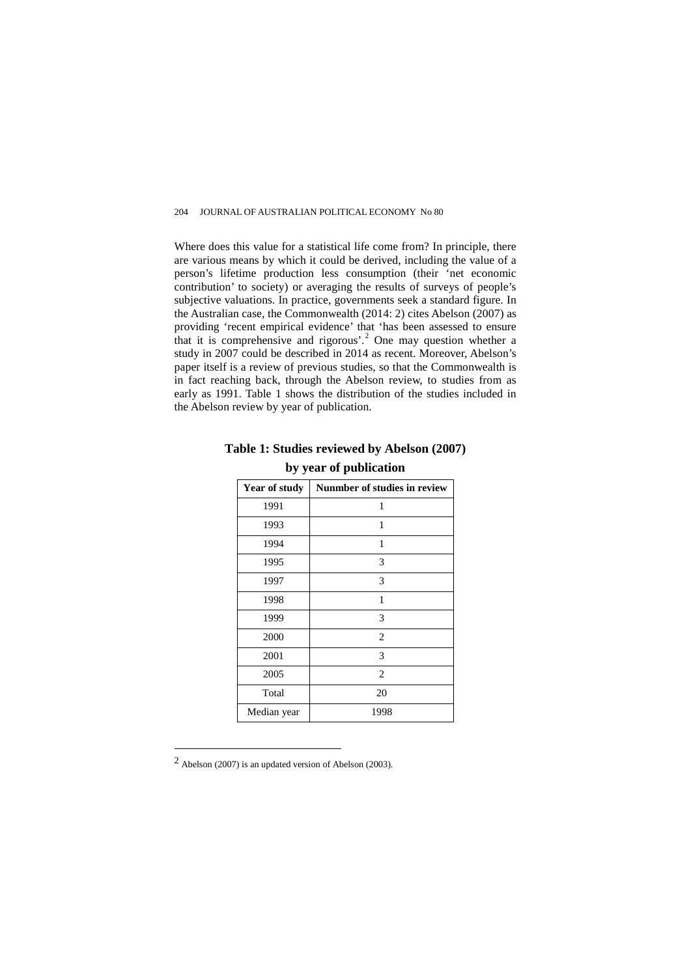Where does this value for a statistical life come from? In principle, there are various means by which it could be derived, including the value of a person's lifetime production less consumption (their 'net economic contribution' to society) or averaging the results of surveys of people's subjective valuations. In practice, governments seek a standard figure. In the Australian case, the Commonwealth (2014: 2) cites Abelson (2007) as providing 'recent empirical evidence' that 'has been assessed to ensure that it is comprehensive and rigorous'.<sup>[2](#page-3-1)</sup> One may question whether a study in 2007 could be described in 2014 as recent. Moreover, Abelson's paper itself is a review of previous studies, so that the Commonwealth is in fact reaching back, through the Abelson review, to studies from as early as 1991. [Table 1](#page-3-0) shows the distribution of the studies included in the Abelson review by year of publication.

| Year of study | Nunmber of studies in review |
|---------------|------------------------------|
| 1991          | 1                            |
| 1993          | 1                            |
| 1994          | 1                            |
| 1995          | 3                            |
| 1997          | 3                            |
| 1998          | 1                            |
| 1999          | 3                            |
| 2000          | $\overline{2}$               |
| 2001          | 3                            |
| 2005          | $\overline{2}$               |
| Total         | 20                           |
| Median year   | 1998                         |

# <span id="page-3-0"></span>**Table 1: Studies reviewed by Abelson (2007) by year of publication**

 $\overline{a}$ 

<span id="page-3-1"></span><sup>2</sup> Abelson (2007) is an updated version of Abelson (2003).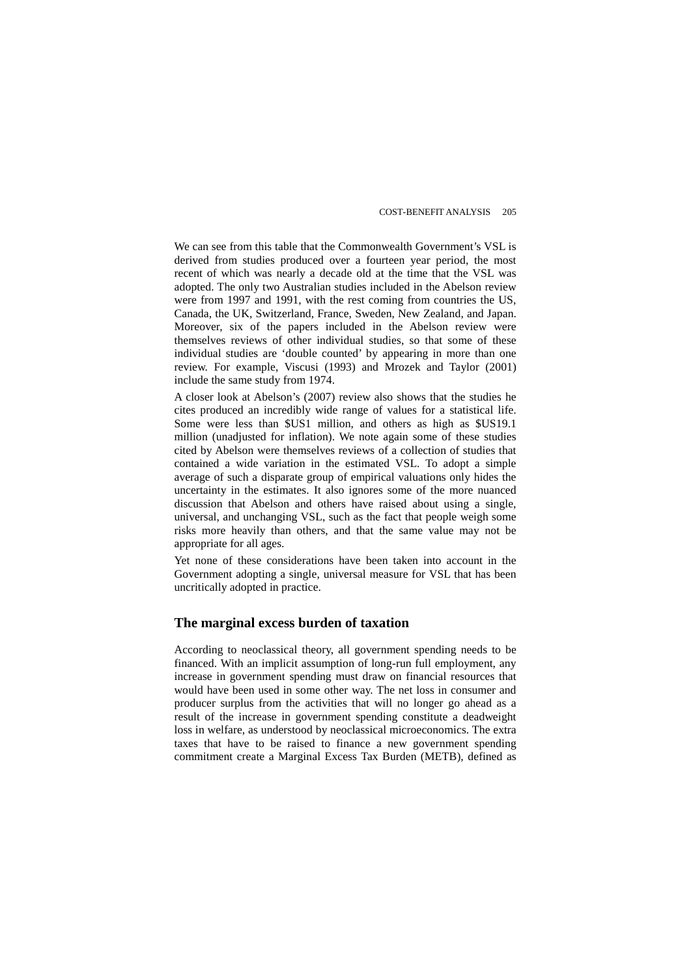We can see from this table that the Commonwealth Government's VSL is derived from studies produced over a fourteen year period, the most recent of which was nearly a decade old at the time that the VSL was adopted. The only two Australian studies included in the Abelson review were from 1997 and 1991, with the rest coming from countries the US, Canada, the UK, Switzerland, France, Sweden, New Zealand, and Japan. Moreover, six of the papers included in the Abelson review were themselves reviews of other individual studies, so that some of these individual studies are 'double counted' by appearing in more than one review. For example, Viscusi (1993) and Mrozek and Taylor (2001) include the same study from 1974.

A closer look at Abelson's (2007) review also shows that the studies he cites produced an incredibly wide range of values for a statistical life. Some were less than \$US1 million, and others as high as \$US19.1 million (unadjusted for inflation). We note again some of these studies cited by Abelson were themselves reviews of a collection of studies that contained a wide variation in the estimated VSL. To adopt a simple average of such a disparate group of empirical valuations only hides the uncertainty in the estimates. It also ignores some of the more nuanced discussion that Abelson and others have raised about using a single, universal, and unchanging VSL, such as the fact that people weigh some risks more heavily than others, and that the same value may not be appropriate for all ages.

Yet none of these considerations have been taken into account in the Government adopting a single, universal measure for VSL that has been uncritically adopted in practice.

# **The marginal excess burden of taxation**

According to neoclassical theory, all government spending needs to be financed. With an implicit assumption of long-run full employment, any increase in government spending must draw on financial resources that would have been used in some other way. The net loss in consumer and producer surplus from the activities that will no longer go ahead as a result of the increase in government spending constitute a deadweight loss in welfare, as understood by neoclassical microeconomics. The extra taxes that have to be raised to finance a new government spending commitment create a Marginal Excess Tax Burden (METB), defined as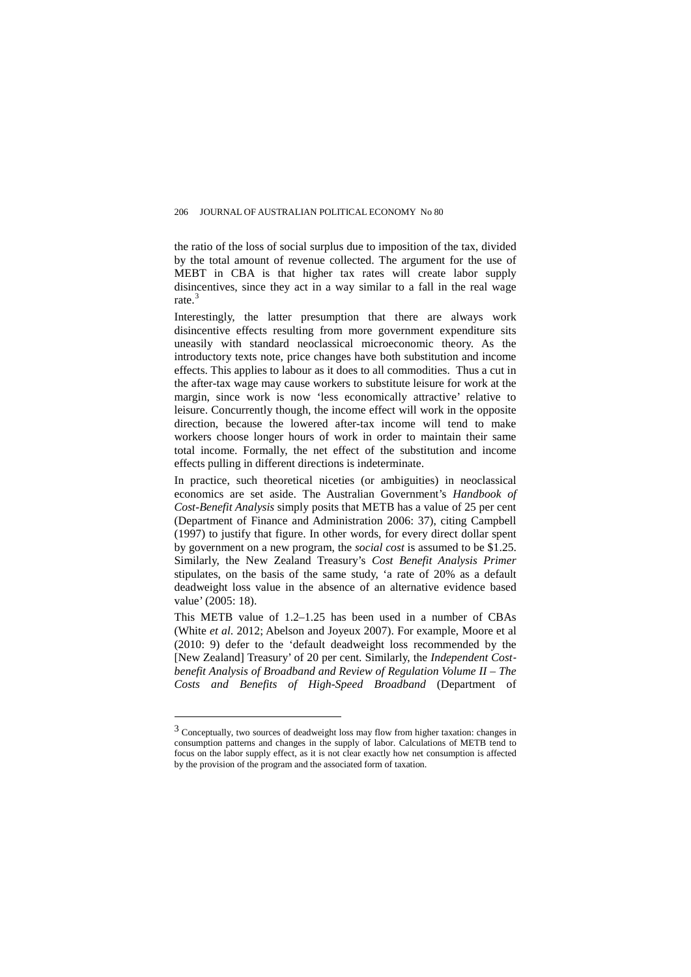the ratio of the loss of social surplus due to imposition of the tax, divided by the total amount of revenue collected. The argument for the use of MEBT in CBA is that higher tax rates will create labor supply disincentives, since they act in a way similar to a fall in the real wage rate.<sup>[3](#page-5-0)</sup>

Interestingly, the latter presumption that there are always work disincentive effects resulting from more government expenditure sits uneasily with standard neoclassical microeconomic theory. As the introductory texts note, price changes have both substitution and income effects. This applies to labour as it does to all commodities. Thus a cut in the after-tax wage may cause workers to substitute leisure for work at the margin, since work is now 'less economically attractive' relative to leisure. Concurrently though, the income effect will work in the opposite direction, because the lowered after-tax income will tend to make workers choose longer hours of work in order to maintain their same total income. Formally, the net effect of the substitution and income effects pulling in different directions is indeterminate.

In practice, such theoretical niceties (or ambiguities) in neoclassical economics are set aside. The Australian Government's *Handbook of Cost-Benefit Analysis* simply posits that METB has a value of 25 per cent (Department of Finance and Administration 2006: 37), citing Campbell (1997) to justify that figure. In other words, for every direct dollar spent by government on a new program, the *social cost* is assumed to be \$1.25. Similarly, the New Zealand Treasury's *Cost Benefit Analysis Primer* stipulates, on the basis of the same study, 'a rate of 20% as a default deadweight loss value in the absence of an alternative evidence based value' (2005: 18).

This METB value of 1.2–1.25 has been used in a number of CBAs (White *et al*. 2012; Abelson and Joyeux 2007). For example, Moore et al (2010: 9) defer to the 'default deadweight loss recommended by the [New Zealand] Treasury' of 20 per cent. Similarly, the *Independent Costbenefit Analysis of Broadband and Review of Regulation Volume II – The Costs and Benefits of High-Speed Broadband* (Department of

 $\overline{a}$ 

<span id="page-5-0"></span><sup>3</sup> Conceptually, two sources of deadweight loss may flow from higher taxation: changes in consumption patterns and changes in the supply of labor. Calculations of METB tend to focus on the labor supply effect, as it is not clear exactly how net consumption is affected by the provision of the program and the associated form of taxation.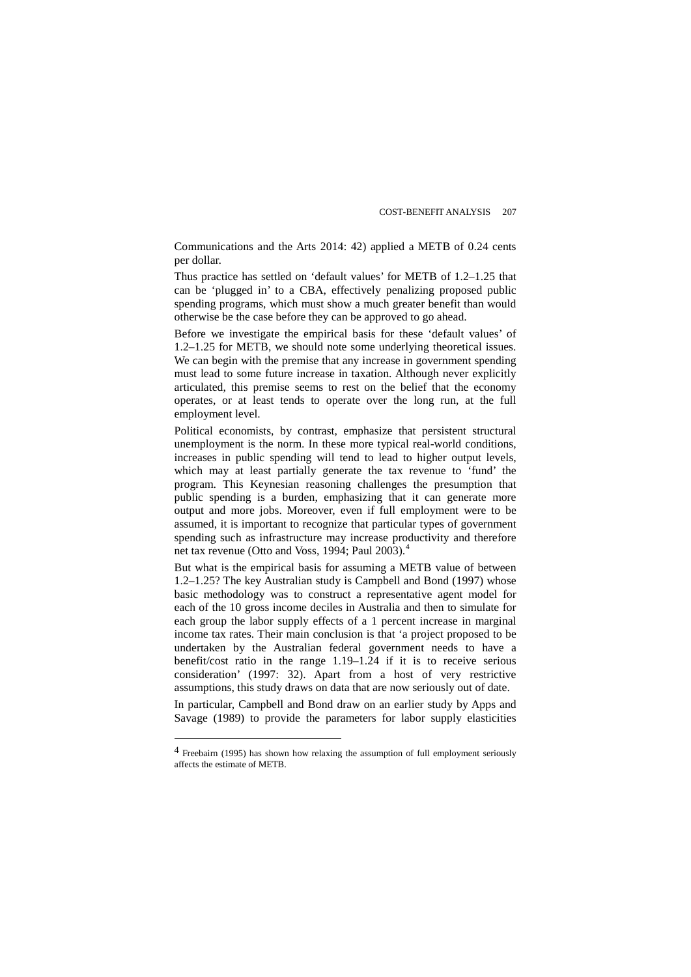Communications and the Arts 2014: 42) applied a METB of 0.24 cents per dollar.

Thus practice has settled on 'default values' for METB of 1.2–1.25 that can be 'plugged in' to a CBA, effectively penalizing proposed public spending programs, which must show a much greater benefit than would otherwise be the case before they can be approved to go ahead.

Before we investigate the empirical basis for these 'default values' of 1.2–1.25 for METB, we should note some underlying theoretical issues. We can begin with the premise that any increase in government spending must lead to some future increase in taxation. Although never explicitly articulated, this premise seems to rest on the belief that the economy operates, or at least tends to operate over the long run, at the full employment level.

Political economists, by contrast, emphasize that persistent structural unemployment is the norm. In these more typical real-world conditions, increases in public spending will tend to lead to higher output levels, which may at least partially generate the tax revenue to 'fund' the program. This Keynesian reasoning challenges the presumption that public spending is a burden, emphasizing that it can generate more output and more jobs. Moreover, even if full employment were to be assumed, it is important to recognize that particular types of government spending such as infrastructure may increase productivity and therefore net tax revenue (Otto and Voss, 199[4](#page-6-0); Paul 2003).<sup>4</sup>

But what is the empirical basis for assuming a METB value of between 1.2–1.25? The key Australian study is Campbell and Bond (1997) whose basic methodology was to construct a representative agent model for each of the 10 gross income deciles in Australia and then to simulate for each group the labor supply effects of a 1 percent increase in marginal income tax rates. Their main conclusion is that 'a project proposed to be undertaken by the Australian federal government needs to have a benefit/cost ratio in the range 1.19–1.24 if it is to receive serious consideration' (1997: 32). Apart from a host of very restrictive assumptions, this study draws on data that are now seriously out of date.

In particular, Campbell and Bond draw on an earlier study by Apps and Savage (1989) to provide the parameters for labor supply elasticities

 $\overline{a}$ 

<span id="page-6-0"></span><sup>4</sup> Freebairn (1995) has shown how relaxing the assumption of full employment seriously affects the estimate of METB.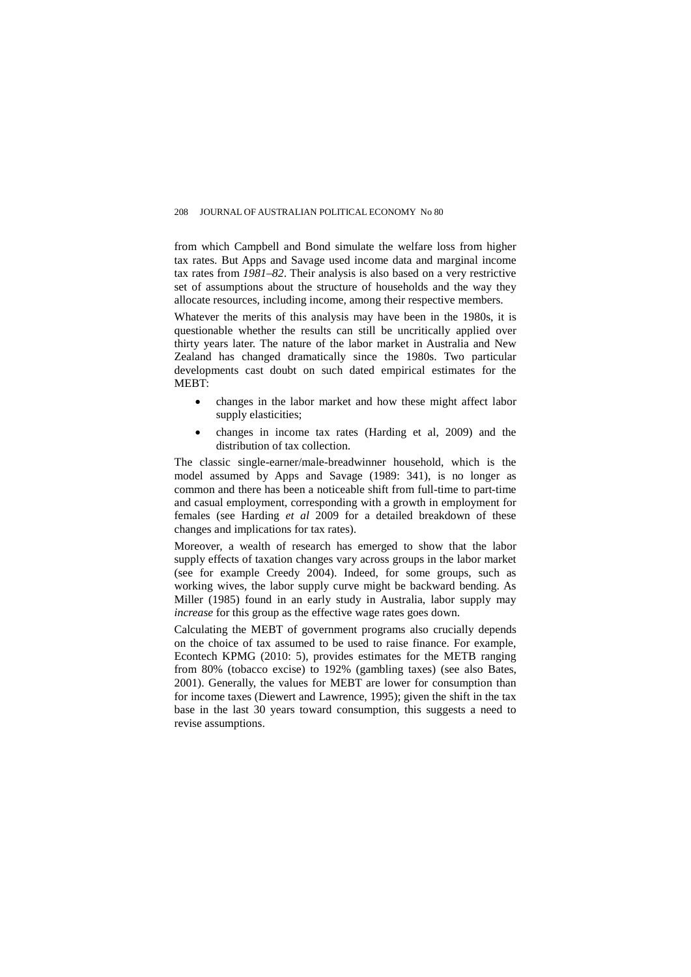from which Campbell and Bond simulate the welfare loss from higher tax rates. But Apps and Savage used income data and marginal income tax rates from *1981–82*. Their analysis is also based on a very restrictive set of assumptions about the structure of households and the way they allocate resources, including income, among their respective members.

Whatever the merits of this analysis may have been in the 1980s, it is questionable whether the results can still be uncritically applied over thirty years later. The nature of the labor market in Australia and New Zealand has changed dramatically since the 1980s. Two particular developments cast doubt on such dated empirical estimates for the MEBT:

- changes in the labor market and how these might affect labor supply elasticities;
- changes in income tax rates (Harding et al, 2009) and the distribution of tax collection.

The classic single-earner/male-breadwinner household, which is the model assumed by Apps and Savage (1989: 341), is no longer as common and there has been a noticeable shift from full-time to part-time and casual employment, corresponding with a growth in employment for females (see Harding *et al* 2009 for a detailed breakdown of these changes and implications for tax rates).

Moreover, a wealth of research has emerged to show that the labor supply effects of taxation changes vary across groups in the labor market (see for example Creedy 2004). Indeed, for some groups, such as working wives, the labor supply curve might be backward bending. As Miller (1985) found in an early study in Australia, labor supply may *increase* for this group as the effective wage rates goes down.

Calculating the MEBT of government programs also crucially depends on the choice of tax assumed to be used to raise finance. For example, Econtech KPMG (2010: 5), provides estimates for the METB ranging from 80% (tobacco excise) to 192% (gambling taxes) (see also Bates, 2001). Generally, the values for MEBT are lower for consumption than for income taxes (Diewert and Lawrence, 1995); given the shift in the tax base in the last 30 years toward consumption, this suggests a need to revise assumptions.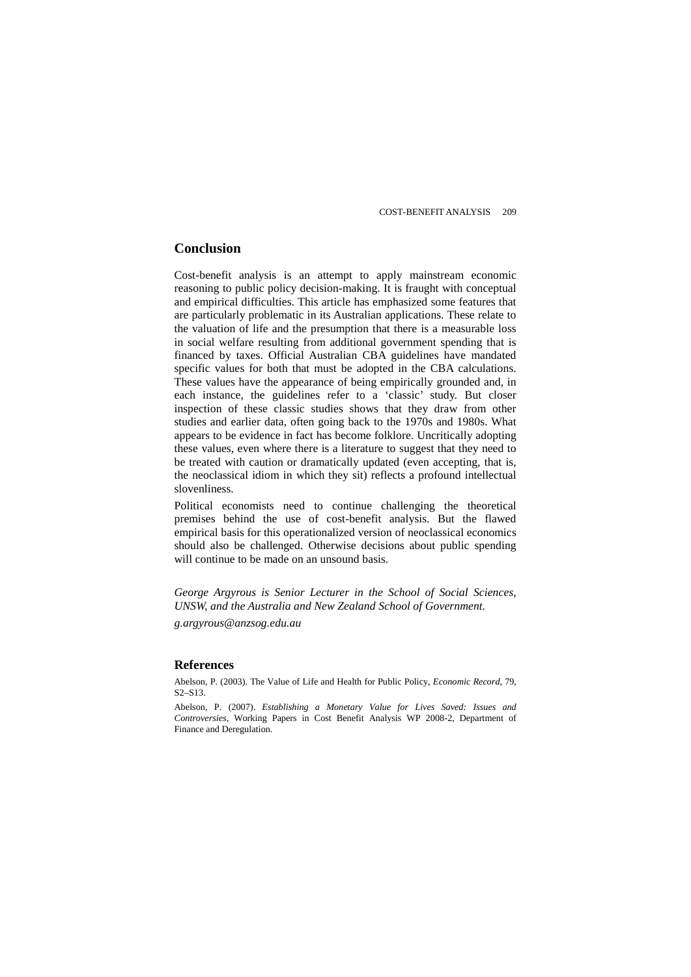# **Conclusion**

Cost-benefit analysis is an attempt to apply mainstream economic reasoning to public policy decision-making. It is fraught with conceptual and empirical difficulties. This article has emphasized some features that are particularly problematic in its Australian applications. These relate to the valuation of life and the presumption that there is a measurable loss in social welfare resulting from additional government spending that is financed by taxes. Official Australian CBA guidelines have mandated specific values for both that must be adopted in the CBA calculations. These values have the appearance of being empirically grounded and, in each instance, the guidelines refer to a 'classic' study. But closer inspection of these classic studies shows that they draw from other studies and earlier data, often going back to the 1970s and 1980s. What appears to be evidence in fact has become folklore. Uncritically adopting these values, even where there is a literature to suggest that they need to be treated with caution or dramatically updated (even accepting, that is, the neoclassical idiom in which they sit) reflects a profound intellectual slovenliness.

Political economists need to continue challenging the theoretical premises behind the use of cost-benefit analysis. But the flawed empirical basis for this operationalized version of neoclassical economics should also be challenged. Otherwise decisions about public spending will continue to be made on an unsound basis.

*George Argyrous is Senior Lecturer in the School of Social Sciences, UNSW, and the Australia and New Zealand School of Government.*

*g.argyrous@anzsog.edu.au*

### **References**

Abelson, P. (2003). The Value of Life and Health for Public Policy, *Economic Record*, 79, S2–S13.

Abelson, P. (2007). *Establishing a Monetary Value for Lives Saved: Issues and Controversies*, Working Papers in Cost Benefit Analysis WP 2008-2, Department of Finance and Deregulation.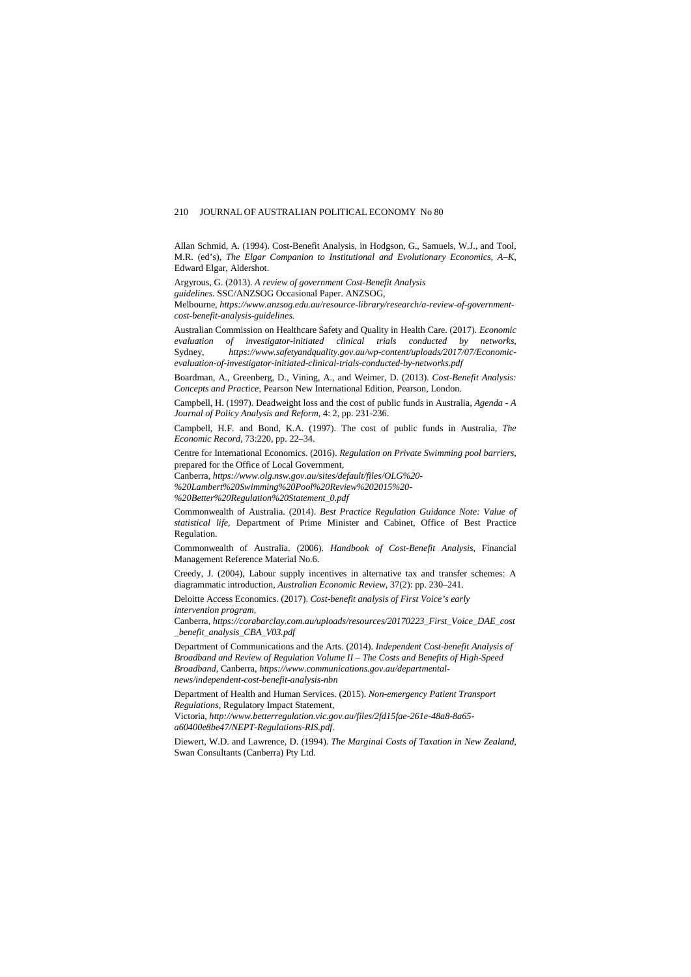Allan Schmid, A. (1994). Cost-Benefit Analysis, in Hodgson, G., Samuels, W.J., and Tool, M.R. (ed's), *The Elgar Companion to Institutional and Evolutionary Economics, A–K*, Edward Elgar, Aldershot.

Argyrous, G. (2013). *A review of government Cost-Benefit Analysis* 

*guidelines.* SSC/ANZSOG Occasional Paper. ANZSOG,

Melbourne, *[https://www.anzsog.edu.au/resource-library/research/a-review-of-government](https://www.anzsog.edu.au/resource-library/research/a-review-of-government-cost-benefit-analysis-guidelines)[cost-benefit-analysis-guidelines](https://www.anzsog.edu.au/resource-library/research/a-review-of-government-cost-benefit-analysis-guidelines)*.

Australian Commission on Healthcare Safety and Quality in Health Care. (2017). *Economic evaluation of investigator-initiated clinical trials conducted by networks*, [https://www.safetyandquality.gov.au/wp-content/uploads/2017/07/Economic](https://www.safetyandquality.gov.au/wp-content/uploads/2017/07/Economic-evaluation-of-investigator-initiated-clinical-trials-conducted-by-networks.pdf)*[evaluation-of-investigator-initiated-clinical-trials-conducted-by-networks.pdf](https://www.safetyandquality.gov.au/wp-content/uploads/2017/07/Economic-evaluation-of-investigator-initiated-clinical-trials-conducted-by-networks.pdf)*

Boardman, A., Greenberg, D., Vining, A., and Weimer, D. (2013). *Cost-Benefit Analysis: Concepts and Practice*, Pearson New International Edition, Pearson, London.

Campbell, H. (1997). Deadweight loss and the cost of public funds in Australia, *Agenda - A Journal of Policy Analysis and Reform*, 4: 2, pp. 231-236.

Campbell, H.F. and Bond, K.A. (1997). The cost of public funds in Australia, *The Economic Record*, 73:220, pp. 22–34.

Centre for International Economics. (2016). *Regulation on Private Swimming pool barriers*, prepared for the Office of Local Government,

Canberra, *[https://www.olg.nsw.gov.au/sites/default/files/OLG%20-](https://www.olg.nsw.gov.au/sites/default/files/OLG%20-%20Lambert%20Swimming%20Pool%20Review%202015%20-%20Better%20Regulation%20Statement_0.pdf)*

*[%20Lambert%20Swimming%20Pool%20Review%202015%20-](https://www.olg.nsw.gov.au/sites/default/files/OLG%20-%20Lambert%20Swimming%20Pool%20Review%202015%20-%20Better%20Regulation%20Statement_0.pdf)*

*[%20Better%20Regulation%20Statement\\_0.pdf](https://www.olg.nsw.gov.au/sites/default/files/OLG%20-%20Lambert%20Swimming%20Pool%20Review%202015%20-%20Better%20Regulation%20Statement_0.pdf)*

Commonwealth of Australia. (2014). *Best Practice Regulation Guidance Note: Value of statistical life*, Department of Prime Minister and Cabinet, Office of Best Practice Regulation.

Commonwealth of Australia. (2006). *Handbook of Cost-Benefit Analysis*, Financial Management Reference Material No.6.

Creedy, J. (2004), Labour supply incentives in alternative tax and transfer schemes: A diagrammatic introduction, *Australian Economic Review*, 37(2): pp. 230–241.

Deloitte Access Economics. (2017). *Cost-benefit analysis of First Voice's early intervention program*,

Canberra, *[https://corabarclay.com.au/uploads/resources/20170223\\_First\\_Voice\\_DAE\\_cost](https://corabarclay.com.au/uploads/resources/20170223_First_Voice_DAE_cost_benefit_analysis_CBA_V03.pdf) [\\_benefit\\_analysis\\_CBA\\_V03.pdf](https://corabarclay.com.au/uploads/resources/20170223_First_Voice_DAE_cost_benefit_analysis_CBA_V03.pdf)*

Department of Communications and the Arts. (2014). *Independent Cost*-*benefit Analysis of Broadband and Review of Regulation Volume II – The Costs and Benefits of High-Speed Broadband*, Canberra, *[https://www.communications.gov.au/departmental](https://www.communications.gov.au/departmental-news/independent-cost-benefit-analysis-nbn)[news/independent-cost-benefit-analysis-nbn](https://www.communications.gov.au/departmental-news/independent-cost-benefit-analysis-nbn)*

Department of Health and Human Services. (2015). *Non-emergency Patient Transport Regulations*, Regulatory Impact Statement,

Victoria, *[http://www.betterregulation.vic.gov.au/files/2fd15fae-261e-48a8-8a65](http://www.betterregulation.vic.gov.au/files/2fd15fae-261e-48a8-8a65-a60400e8be47/NEPT-Regulations-RIS.pdf) [a60400e8be47/NEPT-Regulations-RIS.pdf](http://www.betterregulation.vic.gov.au/files/2fd15fae-261e-48a8-8a65-a60400e8be47/NEPT-Regulations-RIS.pdf)*.

Diewert, W.D. and Lawrence, D. (1994). *The Marginal Costs of Taxation in New Zealand*, Swan Consultants (Canberra) Pty Ltd.